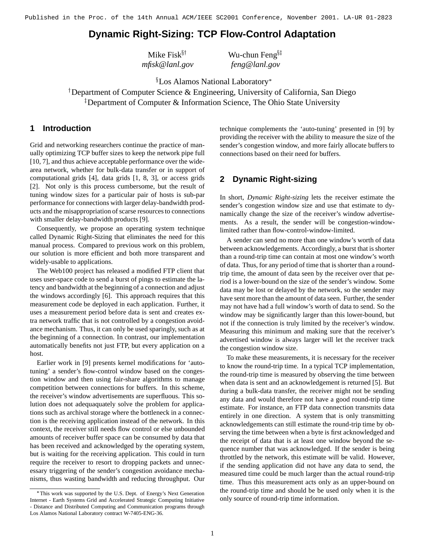# **Dynamic Right-Sizing: TCP Flow-Control Adaptation**

| Mike $Fisk^{\S\dagger}$ | Wu-chun Feng $\S$ |
|-------------------------|-------------------|
| mfisk@lanl.gov          | feng@lanl.gov     |

 $\S$ Los Alamos National Laboratory $^*$ 

 Department of Computer Science & Engineering, University of California, San Diego Department of Computer & Information Science, The Ohio State University

### **1 Introduction**

Grid and networking researchers continue the practice of manually optimizing TCP buffer sizes to keep the network pipe full [10, 7], and thus achieve acceptable performance over the widearea network, whether for bulk-data transfer or in support of computational grids [4], data grids [1, 8, 3], or access grids [2]. Not only is this process cumbersome, but the result of tuning window sizes for a particular pair of hosts is sub-par performance for connections with larger delay-bandwidth products and the misappropriation of scarse resources to connections with smaller delay-bandwidth products [9].

Consequently, we propose an operating system technique called Dynamic Right-Sizing that eliminates the need for this manual process. Compared to previous work on this problem, our solution is more efficient and both more transparent and widely-usable to applications.

The Web100 project has released a modified FTP client that uses user-space code to send a burst of pings to estimate the latency and bandwidth at the beginning of a connection and adjust the windows accordingly [6]. This approach requires that this measurement code be deployed in each application. Further, it uses a measurement period before data is sent and creates extra network traffic that is not controlled by a congestion avoidance mechanism. Thus, it can only be used sparingly, such as at the beginning of a connection. In contrast, our implementation automatically benefits not just FTP, but every application on a host.

Earlier work in [9] presents kernel modifications for 'autotuning' a sender's flow-control window based on the congestion window and then using fair-share algorithms to manage competition between connections for buffers. In this scheme, the receiver's window advertisements are superfluous. This solution does not adequaquately solve the problem for applications such as archival storage where the bottleneck in a connection is the receiving application instead of the network. In this context, the receiver still needs flow control or else unbounded amounts of receiver buffer space can be consumed by data that has been received and acknowledged by the operating system, but is waiting for the receiving application. This could in turn require the receiver to resort to dropping packets and unnecessary triggering of the sender's congestion avoidance mechanisms, thus wasting bandwidth and reducing throughput. Our

technique complements the 'auto-tuning' presented in [9] by providing the receiver with the ability to measure the size of the sender's congestion window, and more fairly allocate buffers to connections based on their need for buffers.

# **2 Dynamic Right-sizing**

 $g^{\S \ddagger}$ 

In short, *Dynamic Right-sizing* lets the receiver estimate the sender's congestion window size and use that estimate to dynamically change the size of the receiver's window advertisements. As a result, the sender will be congestion-windowlimited rather than flow-control-window-limited.

A sender can send no more than one window's worth of data between acknowledgements. Accordingly, a burst that is shorter than a round-trip time can contain at most one window's worth of data. Thus, for any period of time that is shorter than a roundtrip time, the amount of data seen by the receiver over that period is a lower-bound on the size of the sender's window. Some data may be lost or delayed by the network, so the sender may have sent more than the amount of data seen. Further, the sender may not have had a full window's worth of data to send. So the window may be significantly larger than this lower-bound, but not if the connection is truly limited by the receiver's window. Measuring this minimum and making sure that the receiver's advertised window is always larger will let the receiver track the congestion window size.

To make these measurements, it is necessary for the receiver to know the round-trip time. In a typical TCP implementation, the round-trip time is measured by observing the time between when data is sent and an acknowledgement is returned [5]. But during a bulk-data transfer, the receiver might not be sending any data and would therefore not have a good round-trip time estimate. For instance, an FTP data connection transmits data entirely in one direction. A system that is only transmitting acknowledgements can still estimate the round-trip time by observing the time between when a byte is first acknowledged and the receipt of data that is at least one window beyond the sequence number that was acknowledged. If the sender is being throttled by the network, this estimate will be valid. However, if the sending application did not have any data to send, the measured time could be much larger than the actual round-trip time. Thus this measurement acts only as an upper-bound on the round-trip time and should be be used only when it is the only source of round-trip time information.

This work was supported by the U.S. Dept. of Energy's Next Generation Internet - Earth Systems Grid and Accelerated Strategic Computing Initiative - Distance and Distributed Computing and Communication programs through Los Alamos National Laboratory contract W-7405-ENG-36.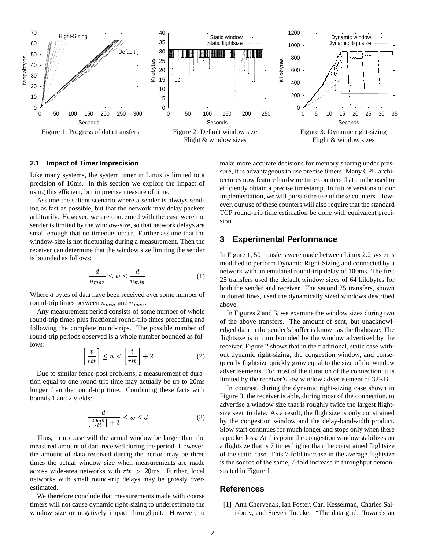

#### **2.1 Impact of Timer Imprecision**

Like many systems, the system timer in Linux is limited to a precision of 10ms. In this section we explore the impact of using this efficient, but imprecise measure of time.

Assume the salient scenario where a sender is always sending as fast as possible, but that the network may delay packets arbitrarily. However, we are concerned with the case were the sender is limited by the window-size, so that network delays are small enough that no timeouts occur. Further assume that the window-size is not fluctuating during a measurement. Then the receiver can determine that the window size limiting the sender is bounded as follows:

$$
\frac{d}{n_{max}} \le w \le \frac{d}{n_{min}} \tag{1}
$$

Where  $d$  bytes of data have been received over some number of round-trip times between  $n_{min}$  and  $n_{max}$ .

Any measurement period consists of some number of whole round-trip times plus fractional round-trip times preceding and following the complete round-trips. The possible number of round-trip periods observed is a whole number bounded as follows:

$$
\left\lceil \frac{t}{rtt} \right\rceil \le n < \left\lfloor \frac{t}{rtt} \right\rfloor + 2 \tag{2}
$$

Due to similar fence-post problems, a measurement of duration equal to one round-trip time may actually be up to 20ms longer than the round-trip time. Combining these facts with bounds 1 and 2 yields:

and the contract of the contract of the contract of the contract of the contract of the contract of the contract of the contract of the contract of the contract of the contract of the contract of the contract of the contra

$$
\frac{d}{\left\lfloor \frac{20\,\text{ms}}{rtt} \right\rfloor + 3} \le w \le d \tag{3}
$$

Thus, in no case will the actual window be larger than the measured amount of data received during the period. However, the amount of data received during the period may be three times the actual window size when measurements are made across wide-area networks with  $rtt > 20$ ms. Further, local networks with small round-trip delays may be grossly overestimated.

We therefore conclude that measurements made with coarse timers will not cause dynamic right-sizing to underestimate the window size or negatively impact throughput. However, to make more accurate decisions for memory sharing under pressure, it is advantageous to use precise timers. Many CPU architectures now feature hardware time counters that can be used to efficiently obtain a precise timestamp. In future versions of our implementation, we will pursue the use of these counters. However, our use of these counters will also require that the standard TCP round-trip time estimation be done with equivalent precision.

## **3 Experimental Performance**

In Figure 1, 50 transfers were made between Linux 2.2 systems modified to perform Dynamic Right-Sizing and connected by a network with an emulated round-trip delay of 100ms. The first 25 transfers used the default window sizes of 64 kilobytes for both the sender and receiver. The second 25 transfers, shown in dotted lines, used the dynamically sized windows described above.

In Figures 2 and 3, we examine the window sizes during two of the above transfers. The amount of sent, but unacknowledged data in the sender's buffer is known as the flightsize. The flightsize is in turn bounded by the window advertised by the receiver. Figure 2 shows that in the traditional, static case without dynamic right-sizing, the congestion window, and consequently flightsize quickly grow equal to the size of the window advertisements. For most of the duration of the connection, it is limited by the receiver's low window advertisement of 32KB.

In contrast, during the dynamic right-sizing case shown in Figure 3, the receiver is able, during most of the connection, to advertise a window size that is roughly twice the largest flightsize seen to date. As a result, the flightsize is only constrained by the congestion window and the delay-bandwidth product. Slow start continues for much longer and stops only when there is packet loss. At this point the congestion window stabilizes on a flightsize that is 7 times higher than the constrained flightsize of the static case. This 7-fold increase in the average flightsize is the source of the same, 7-fold increase in throughput demonstrated in Figure 1.

### **References**

[1] Ann Chervenak, Ian Foster, Carl Kesselman, Charles Salisbury, and Steven Tuecke, "The data grid: Towards an